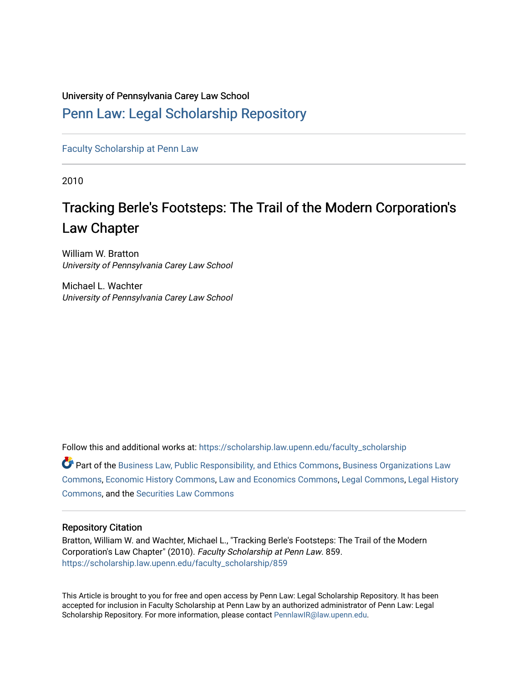### University of Pennsylvania Carey Law School

## [Penn Law: Legal Scholarship Repository](https://scholarship.law.upenn.edu/)

[Faculty Scholarship at Penn Law](https://scholarship.law.upenn.edu/faculty_scholarship)

2010

# Tracking Berle's Footsteps: The Trail of the Modern Corporation's Law Chapter

William W. Bratton University of Pennsylvania Carey Law School

Michael L. Wachter University of Pennsylvania Carey Law School

Follow this and additional works at: [https://scholarship.law.upenn.edu/faculty\\_scholarship](https://scholarship.law.upenn.edu/faculty_scholarship?utm_source=scholarship.law.upenn.edu%2Ffaculty_scholarship%2F859&utm_medium=PDF&utm_campaign=PDFCoverPages)   $\bullet$  Part of the [Business Law, Public Responsibility, and Ethics Commons](http://network.bepress.com/hgg/discipline/628?utm_source=scholarship.law.upenn.edu%2Ffaculty_scholarship%2F859&utm_medium=PDF&utm_campaign=PDFCoverPages), Business Organizations Law

[Commons](http://network.bepress.com/hgg/discipline/900?utm_source=scholarship.law.upenn.edu%2Ffaculty_scholarship%2F859&utm_medium=PDF&utm_campaign=PDFCoverPages), [Economic History Commons,](http://network.bepress.com/hgg/discipline/343?utm_source=scholarship.law.upenn.edu%2Ffaculty_scholarship%2F859&utm_medium=PDF&utm_campaign=PDFCoverPages) [Law and Economics Commons,](http://network.bepress.com/hgg/discipline/612?utm_source=scholarship.law.upenn.edu%2Ffaculty_scholarship%2F859&utm_medium=PDF&utm_campaign=PDFCoverPages) [Legal Commons](http://network.bepress.com/hgg/discipline/502?utm_source=scholarship.law.upenn.edu%2Ffaculty_scholarship%2F859&utm_medium=PDF&utm_campaign=PDFCoverPages), [Legal History](http://network.bepress.com/hgg/discipline/904?utm_source=scholarship.law.upenn.edu%2Ffaculty_scholarship%2F859&utm_medium=PDF&utm_campaign=PDFCoverPages)  [Commons](http://network.bepress.com/hgg/discipline/904?utm_source=scholarship.law.upenn.edu%2Ffaculty_scholarship%2F859&utm_medium=PDF&utm_campaign=PDFCoverPages), and the [Securities Law Commons](http://network.bepress.com/hgg/discipline/619?utm_source=scholarship.law.upenn.edu%2Ffaculty_scholarship%2F859&utm_medium=PDF&utm_campaign=PDFCoverPages) 

#### Repository Citation

Bratton, William W. and Wachter, Michael L., "Tracking Berle's Footsteps: The Trail of the Modern Corporation's Law Chapter" (2010). Faculty Scholarship at Penn Law. 859. [https://scholarship.law.upenn.edu/faculty\\_scholarship/859](https://scholarship.law.upenn.edu/faculty_scholarship/859?utm_source=scholarship.law.upenn.edu%2Ffaculty_scholarship%2F859&utm_medium=PDF&utm_campaign=PDFCoverPages) 

This Article is brought to you for free and open access by Penn Law: Legal Scholarship Repository. It has been accepted for inclusion in Faculty Scholarship at Penn Law by an authorized administrator of Penn Law: Legal Scholarship Repository. For more information, please contact [PennlawIR@law.upenn.edu.](mailto:PennlawIR@law.upenn.edu)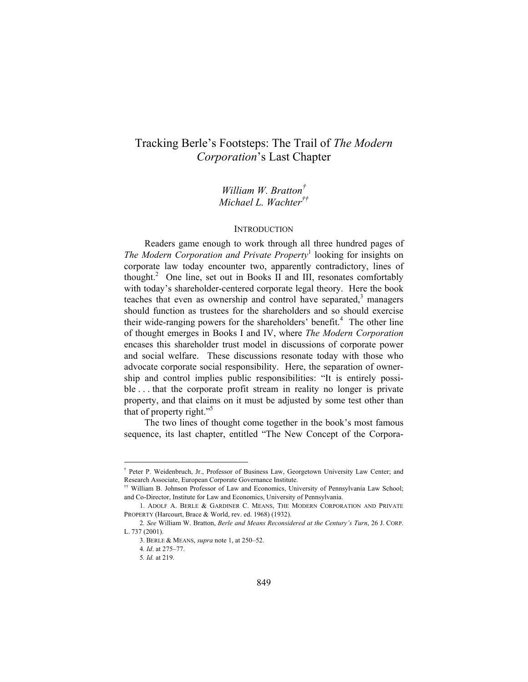## Tracking Berle's Footsteps: The Trail of *The Modern Corporation*'s Last Chapter

*William W. Bratton† Michael L. Wachter††*

#### **INTRODUCTION**

Readers game enough to work through all three hundred pages of *The Modern Corporation and Private Property*<sup>1</sup> looking for insights on corporate law today encounter two, apparently contradictory, lines of thought.<sup>2</sup> One line, set out in Books II and III, resonates comfortably with today's shareholder-centered corporate legal theory. Here the book teaches that even as ownership and control have separated, $3$  managers should function as trustees for the shareholders and so should exercise their wide-ranging powers for the shareholders' benefit.<sup>4</sup> The other line of thought emerges in Books I and IV, where *The Modern Corporation* encases this shareholder trust model in discussions of corporate power and social welfare. These discussions resonate today with those who advocate corporate social responsibility. Here, the separation of ownership and control implies public responsibilities: "It is entirely possible ... that the corporate profit stream in reality no longer is private property, and that claims on it must be adjusted by some test other than that of property right."<sup>5</sup>

The two lines of thought come together in the book's most famous sequence, its last chapter, entitled "The New Concept of the Corpora-

<sup>†</sup> Peter P. Weidenbruch, Jr., Professor of Business Law, Georgetown University Law Center; and Research Associate, European Corporate Governance Institute. †† William B. Johnson Professor of Law and Economics, University of Pennsylvania Law School;

and Co-Director, Institute for Law and Economics, University of Pennsylvania.

 <sup>1.</sup> ADOLF A. BERLE & GARDINER C. MEANS, THE MODERN CORPORATION AND PRIVATE PROPERTY (Harcourt, Brace & World, rev. ed. 1968) (1932).

<sup>2</sup>*. See* William W. Bratton, *Berle and Means Reconsidered at the Century's Turn*, 26 J. CORP. L. 737 (2001).

 <sup>3.</sup> BERLE & MEANS, *supra* note 1, at 250–52.

<sup>4</sup>*. Id*. at 275–77.

<sup>5</sup>*. Id.* at 219.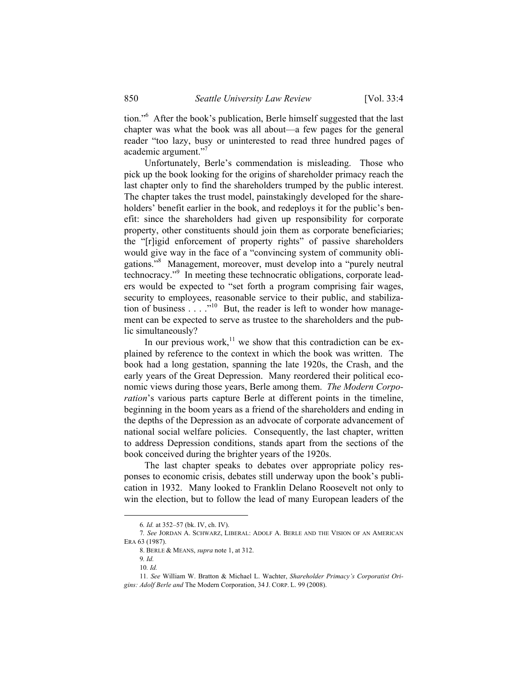tion."6 After the book's publication, Berle himself suggested that the last chapter was what the book was all about—a few pages for the general reader "too lazy, busy or uninterested to read three hundred pages of academic argument."7

Unfortunately, Berle's commendation is misleading. Those who pick up the book looking for the origins of shareholder primacy reach the last chapter only to find the shareholders trumped by the public interest. The chapter takes the trust model, painstakingly developed for the shareholders' benefit earlier in the book, and redeploys it for the public's benefit: since the shareholders had given up responsibility for corporate property, other constituents should join them as corporate beneficiaries; the "[r]igid enforcement of property rights" of passive shareholders would give way in the face of a "convincing system of community obligations."<sup>8</sup> Management, moreover, must develop into a "purely neutral technocracy."9 In meeting these technocratic obligations, corporate leaders would be expected to "set forth a program comprising fair wages, security to employees, reasonable service to their public, and stabilization of business . . . ."<sup>10</sup> But, the reader is left to wonder how management can be expected to serve as trustee to the shareholders and the public simultaneously?

In our previous work, $1$ <sup>1</sup> we show that this contradiction can be explained by reference to the context in which the book was written. The book had a long gestation, spanning the late 1920s, the Crash, and the early years of the Great Depression. Many reordered their political economic views during those years, Berle among them. *The Modern Corporation*'s various parts capture Berle at different points in the timeline, beginning in the boom years as a friend of the shareholders and ending in the depths of the Depression as an advocate of corporate advancement of national social welfare policies. Consequently, the last chapter, written to address Depression conditions, stands apart from the sections of the book conceived during the brighter years of the 1920s.

The last chapter speaks to debates over appropriate policy responses to economic crisis, debates still underway upon the book's publication in 1932. Many looked to Franklin Delano Roosevelt not only to win the election, but to follow the lead of many European leaders of the

 <sup>6</sup>*. Id.* at 352–57 (bk. IV, ch. IV).

<sup>7</sup>*. See* JORDAN A. SCHWARZ, LIBERAL: ADOLF A. BERLE AND THE VISION OF AN AMERICAN ERA 63 (1987).

 <sup>8.</sup> BERLE & MEANS, *supra* note 1, at 312.

<sup>9</sup>*. Id.*

<sup>10</sup>*. Id.*

<sup>11</sup>*. See* William W. Bratton & Michael L. Wachter, *Shareholder Primacy's Corporatist Origins: Adolf Berle and* The Modern Corporation, 34 J. CORP. L. 99 (2008).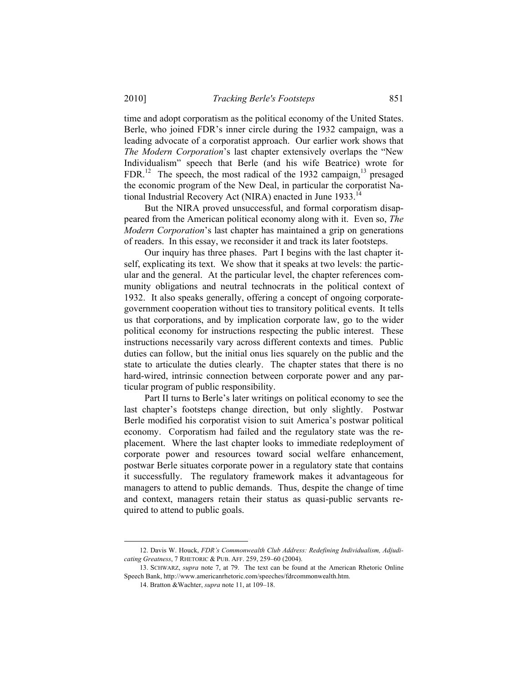time and adopt corporatism as the political economy of the United States. Berle, who joined FDR's inner circle during the 1932 campaign, was a leading advocate of a corporatist approach. Our earlier work shows that *The Modern Corporation*'s last chapter extensively overlaps the "New Individualism" speech that Berle (and his wife Beatrice) wrote for  $FDR<sup>12</sup>$  The speech, the most radical of the 1932 campaign, <sup>13</sup> presaged the economic program of the New Deal, in particular the corporatist National Industrial Recovery Act (NIRA) enacted in June 1933.<sup>14</sup>

But the NIRA proved unsuccessful, and formal corporatism disappeared from the American political economy along with it. Even so, *The Modern Corporation*'s last chapter has maintained a grip on generations of readers. In this essay, we reconsider it and track its later footsteps.

Our inquiry has three phases. Part I begins with the last chapter itself, explicating its text. We show that it speaks at two levels: the particular and the general. At the particular level, the chapter references community obligations and neutral technocrats in the political context of 1932. It also speaks generally, offering a concept of ongoing corporategovernment cooperation without ties to transitory political events. It tells us that corporations, and by implication corporate law, go to the wider political economy for instructions respecting the public interest. These instructions necessarily vary across different contexts and times. Public duties can follow, but the initial onus lies squarely on the public and the state to articulate the duties clearly. The chapter states that there is no hard-wired, intrinsic connection between corporate power and any particular program of public responsibility.

Part II turns to Berle's later writings on political economy to see the last chapter's footsteps change direction, but only slightly. Postwar Berle modified his corporatist vision to suit America's postwar political economy. Corporatism had failed and the regulatory state was the replacement. Where the last chapter looks to immediate redeployment of corporate power and resources toward social welfare enhancement, postwar Berle situates corporate power in a regulatory state that contains it successfully. The regulatory framework makes it advantageous for managers to attend to public demands. Thus, despite the change of time and context, managers retain their status as quasi-public servants required to attend to public goals.

 <sup>12.</sup> Davis W. Houck, *FDR's Commonwealth Club Address: Redefining Individualism, Adjudicating Greatness*, 7 RHETORIC & PUB. AFF. 259, 259–60 (2004).

 <sup>13.</sup> SCHWARZ, *supra* note 7, at 79. The text can be found at the American Rhetoric Online Speech Bank, http://www.americanrhetoric.com/speeches/fdrcommonwealth.htm.

 <sup>14.</sup> Bratton &Wachter, *supra* note 11, at 109–18.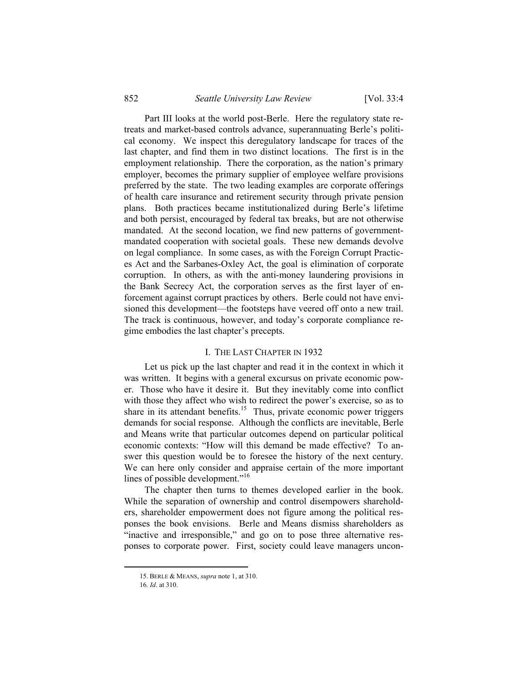Part III looks at the world post-Berle. Here the regulatory state retreats and market-based controls advance, superannuating Berle's political economy. We inspect this deregulatory landscape for traces of the last chapter, and find them in two distinct locations. The first is in the employment relationship. There the corporation, as the nation's primary employer, becomes the primary supplier of employee welfare provisions preferred by the state. The two leading examples are corporate offerings of health care insurance and retirement security through private pension plans. Both practices became institutionalized during Berle's lifetime and both persist, encouraged by federal tax breaks, but are not otherwise mandated. At the second location, we find new patterns of governmentmandated cooperation with societal goals. These new demands devolve on legal compliance. In some cases, as with the Foreign Corrupt Practices Act and the Sarbanes-Oxley Act, the goal is elimination of corporate corruption. In others, as with the anti-money laundering provisions in the Bank Secrecy Act, the corporation serves as the first layer of enforcement against corrupt practices by others. Berle could not have envisioned this development—the footsteps have veered off onto a new trail. The track is continuous, however, and today's corporate compliance regime embodies the last chapter's precepts.

#### I. THE LAST CHAPTER IN 1932

Let us pick up the last chapter and read it in the context in which it was written. It begins with a general excursus on private economic power. Those who have it desire it. But they inevitably come into conflict with those they affect who wish to redirect the power's exercise, so as to share in its attendant benefits.<sup>15</sup> Thus, private economic power triggers demands for social response. Although the conflicts are inevitable, Berle and Means write that particular outcomes depend on particular political economic contexts: "How will this demand be made effective? To answer this question would be to foresee the history of the next century. We can here only consider and appraise certain of the more important lines of possible development."<sup>16</sup>

The chapter then turns to themes developed earlier in the book. While the separation of ownership and control disempowers shareholders, shareholder empowerment does not figure among the political responses the book envisions. Berle and Means dismiss shareholders as "inactive and irresponsible," and go on to pose three alternative responses to corporate power. First, society could leave managers uncon-

 <sup>15.</sup> BERLE & MEANS, *supra* note 1, at 310.

<sup>16</sup>*. Id*. at 310.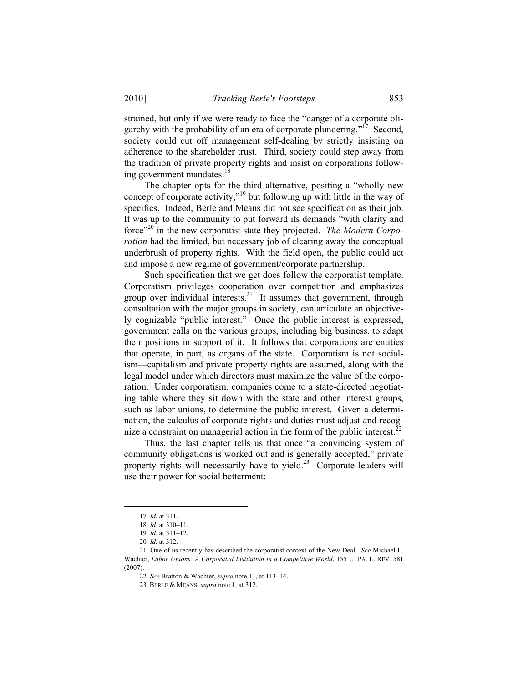strained, but only if we were ready to face the "danger of a corporate oligarchy with the probability of an era of corporate plundering."<sup>17</sup> Second, society could cut off management self-dealing by strictly insisting on adherence to the shareholder trust. Third, society could step away from the tradition of private property rights and insist on corporations following government mandates.<sup>18</sup>

The chapter opts for the third alternative, positing a "wholly new concept of corporate activity,"<sup>19</sup> but following up with little in the way of specifics. Indeed, Berle and Means did not see specification as their job. It was up to the community to put forward its demands "with clarity and force"20 in the new corporatist state they projected. *The Modern Corporation* had the limited, but necessary job of clearing away the conceptual underbrush of property rights. With the field open, the public could act and impose a new regime of government/corporate partnership.

Such specification that we get does follow the corporatist template. Corporatism privileges cooperation over competition and emphasizes group over individual interests. $21$  It assumes that government, through consultation with the major groups in society, can articulate an objectively cognizable "public interest." Once the public interest is expressed, government calls on the various groups, including big business, to adapt their positions in support of it. It follows that corporations are entities that operate, in part, as organs of the state. Corporatism is not socialism—capitalism and private property rights are assumed, along with the legal model under which directors must maximize the value of the corporation. Under corporatism, companies come to a state-directed negotiating table where they sit down with the state and other interest groups, such as labor unions, to determine the public interest. Given a determination, the calculus of corporate rights and duties must adjust and recognize a constraint on managerial action in the form of the public interest.<sup>22</sup>

Thus, the last chapter tells us that once "a convincing system of community obligations is worked out and is generally accepted," private property rights will necessarily have to yield.<sup>23</sup> Corporate leaders will use their power for social betterment:

 <sup>17</sup>*. Id*. at 311.

<sup>18</sup>*. Id*. at 310–11.

<sup>19</sup>*. Id*. at 311–12.

<sup>20</sup>*. Id*. at 312.

 <sup>21.</sup> One of us recently has described the corporatist context of the New Deal. *See* Michael L. Wachter, *Labor Unions: A Corporatist Institution in a Competitive World*, 155 U. PA. L. REV. 581  $(2007)$ 

<sup>22</sup>*. See* Bratton & Wachter, *supra* note 11, at 113–14.

 <sup>23.</sup> BERLE & MEANS, *supra* note 1, at 312.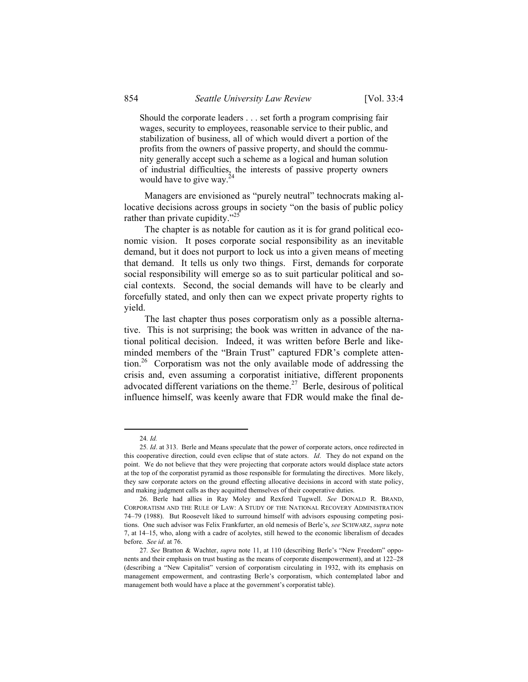Should the corporate leaders . . . set forth a program comprising fair wages, security to employees, reasonable service to their public, and stabilization of business, all of which would divert a portion of the profits from the owners of passive property, and should the community generally accept such a scheme as a logical and human solution of industrial difficulties, the interests of passive property owners would have to give way.<sup>2</sup>

Managers are envisioned as "purely neutral" technocrats making allocative decisions across groups in society "on the basis of public policy rather than private cupidity."<sup>25</sup>

The chapter is as notable for caution as it is for grand political economic vision. It poses corporate social responsibility as an inevitable demand, but it does not purport to lock us into a given means of meeting that demand. It tells us only two things. First, demands for corporate social responsibility will emerge so as to suit particular political and social contexts. Second, the social demands will have to be clearly and forcefully stated, and only then can we expect private property rights to yield.

The last chapter thus poses corporatism only as a possible alternative. This is not surprising; the book was written in advance of the national political decision. Indeed, it was written before Berle and likeminded members of the "Brain Trust" captured FDR's complete attention.26 Corporatism was not the only available mode of addressing the crisis and, even assuming a corporatist initiative, different proponents advocated different variations on the theme.<sup>27</sup> Berle, desirous of political influence himself, was keenly aware that FDR would make the final de-

 <sup>24</sup>*. Id.*

<sup>25</sup>*. Id*. at 313. Berle and Means speculate that the power of corporate actors, once redirected in this cooperative direction, could even eclipse that of state actors. *Id*. They do not expand on the point. We do not believe that they were projecting that corporate actors would displace state actors at the top of the corporatist pyramid as those responsible for formulating the directives. More likely, they saw corporate actors on the ground effecting allocative decisions in accord with state policy, and making judgment calls as they acquitted themselves of their cooperative duties.

 <sup>26.</sup> Berle had allies in Ray Moley and Rexford Tugwell. *See* DONALD R. BRAND, CORPORATISM AND THE RULE OF LAW: A STUDY OF THE NATIONAL RECOVERY ADMINISTRATION 74–79 (1988). But Roosevelt liked to surround himself with advisors espousing competing positions. One such advisor was Felix Frankfurter, an old nemesis of Berle's, *see* SCHWARZ, *supra* note 7, at 14–15, who, along with a cadre of acolytes, still hewed to the economic liberalism of decades before. *See id*. at 76.

<sup>27</sup>*. See* Bratton & Wachter, *supra* note 11, at 110 (describing Berle's "New Freedom" opponents and their emphasis on trust busting as the means of corporate disempowerment), and at 122–28 (describing a "New Capitalist" version of corporatism circulating in 1932, with its emphasis on management empowerment, and contrasting Berle's corporatism, which contemplated labor and management both would have a place at the government's corporatist table).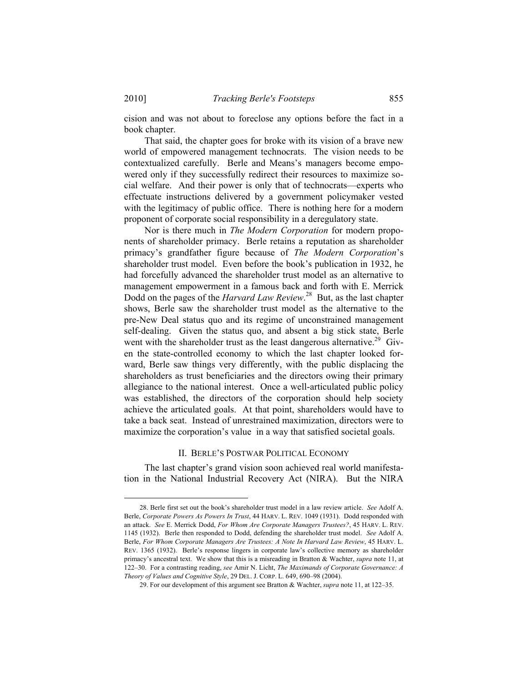cision and was not about to foreclose any options before the fact in a book chapter.

That said, the chapter goes for broke with its vision of a brave new world of empowered management technocrats. The vision needs to be contextualized carefully. Berle and Means's managers become empowered only if they successfully redirect their resources to maximize social welfare. And their power is only that of technocrats—experts who effectuate instructions delivered by a government policymaker vested with the legitimacy of public office. There is nothing here for a modern proponent of corporate social responsibility in a deregulatory state.

Nor is there much in *The Modern Corporation* for modern proponents of shareholder primacy. Berle retains a reputation as shareholder primacy's grandfather figure because of *The Modern Corporation*'s shareholder trust model. Even before the book's publication in 1932, he had forcefully advanced the shareholder trust model as an alternative to management empowerment in a famous back and forth with E. Merrick Dodd on the pages of the *Harvard Law Review*.<sup>28</sup> But, as the last chapter shows, Berle saw the shareholder trust model as the alternative to the pre-New Deal status quo and its regime of unconstrained management self-dealing. Given the status quo, and absent a big stick state, Berle went with the shareholder trust as the least dangerous alternative.<sup>29</sup> Given the state-controlled economy to which the last chapter looked forward, Berle saw things very differently, with the public displacing the shareholders as trust beneficiaries and the directors owing their primary allegiance to the national interest. Once a well-articulated public policy was established, the directors of the corporation should help society achieve the articulated goals. At that point, shareholders would have to take a back seat. Instead of unrestrained maximization, directors were to maximize the corporation's value in a way that satisfied societal goals.

#### II. BERLE'S POSTWAR POLITICAL ECONOMY

The last chapter's grand vision soon achieved real world manifestation in the National Industrial Recovery Act (NIRA). But the NIRA

 <sup>28.</sup> Berle first set out the book's shareholder trust model in a law review article. *See* Adolf A. Berle, *Corporate Powers As Powers In Trust*, 44 HARV. L. REV. 1049 (1931). Dodd responded with an attack. *See* E. Merrick Dodd, *For Whom Are Corporate Managers Trustees?*, 45 HARV. L. REV. 1145 (1932). Berle then responded to Dodd, defending the shareholder trust model. *See* Adolf A. Berle, *For Whom Corporate Managers Are Trustees: A Note In Harvard Law Review*, 45 HARV. L. REV. 1365 (1932). Berle's response lingers in corporate law's collective memory as shareholder primacy's ancestral text. We show that this is a misreading in Bratton & Wachter, *supra* note 11, at 122–30. For a contrasting reading, *see* Amir N. Licht, *The Maximands of Corporate Governance: A Theory of Values and Cognitive Style*, 29 DEL. J. CORP. L. 649, 690–98 (2004).

 <sup>29.</sup> For our development of this argument see Bratton & Wachter, *supra* note 11, at 122–35.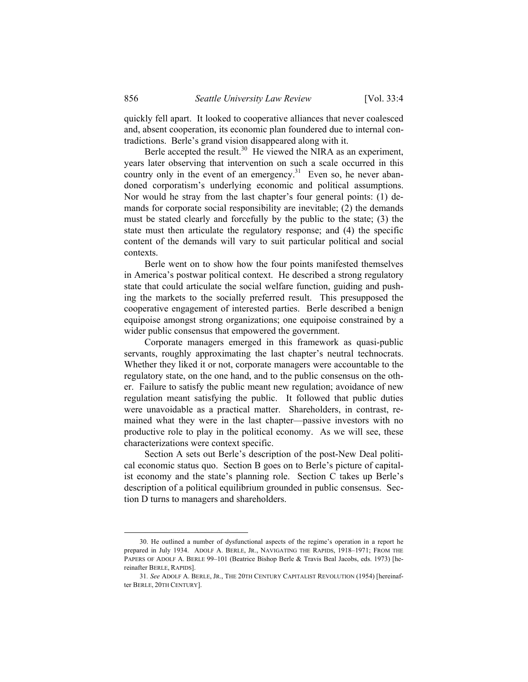quickly fell apart. It looked to cooperative alliances that never coalesced and, absent cooperation, its economic plan foundered due to internal contradictions. Berle's grand vision disappeared along with it.

Berle accepted the result. $30$  He viewed the NIRA as an experiment, years later observing that intervention on such a scale occurred in this country only in the event of an emergency.<sup>31</sup> Even so, he never abandoned corporatism's underlying economic and political assumptions. Nor would he stray from the last chapter's four general points: (1) demands for corporate social responsibility are inevitable; (2) the demands must be stated clearly and forcefully by the public to the state; (3) the state must then articulate the regulatory response; and (4) the specific content of the demands will vary to suit particular political and social contexts.

Berle went on to show how the four points manifested themselves in America's postwar political context. He described a strong regulatory state that could articulate the social welfare function, guiding and pushing the markets to the socially preferred result. This presupposed the cooperative engagement of interested parties. Berle described a benign equipoise amongst strong organizations; one equipoise constrained by a wider public consensus that empowered the government.

Corporate managers emerged in this framework as quasi-public servants, roughly approximating the last chapter's neutral technocrats. Whether they liked it or not, corporate managers were accountable to the regulatory state, on the one hand, and to the public consensus on the other. Failure to satisfy the public meant new regulation; avoidance of new regulation meant satisfying the public. It followed that public duties were unavoidable as a practical matter. Shareholders, in contrast, remained what they were in the last chapter—passive investors with no productive role to play in the political economy. As we will see, these characterizations were context specific.

Section A sets out Berle's description of the post-New Deal political economic status quo. Section B goes on to Berle's picture of capitalist economy and the state's planning role. Section C takes up Berle's description of a political equilibrium grounded in public consensus. Section D turns to managers and shareholders.

 <sup>30.</sup> He outlined a number of dysfunctional aspects of the regime's operation in a report he prepared in July 1934. ADOLF A. BERLE, JR., NAVIGATING THE RAPIDS, 1918–1971; FROM THE PAPERS OF ADOLF A. BERLE 99-101 (Beatrice Bishop Berle & Travis Beal Jacobs, eds. 1973) [hereinafter BERLE, RAPIDS].

<sup>31</sup>*. See* ADOLF A. BERLE, JR., THE 20TH CENTURY CAPITALIST REVOLUTION (1954) [hereinafter BERLE, 20TH CENTURY].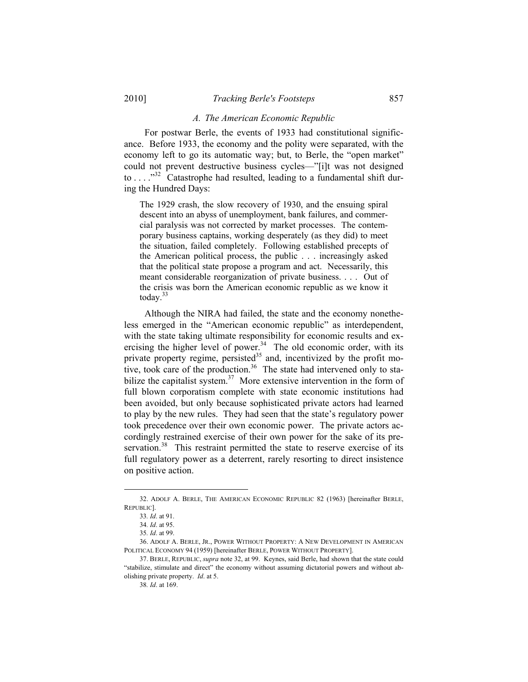#### *A. The American Economic Republic*

For postwar Berle, the events of 1933 had constitutional significance. Before 1933, the economy and the polity were separated, with the economy left to go its automatic way; but, to Berle, the "open market" could not prevent destructive business cycles—"[i]t was not designed to . . . .  $\frac{1}{32}$  Catastrophe had resulted, leading to a fundamental shift during the Hundred Days:

The 1929 crash, the slow recovery of 1930, and the ensuing spiral descent into an abyss of unemployment, bank failures, and commercial paralysis was not corrected by market processes. The contemporary business captains, working desperately (as they did) to meet the situation, failed completely. Following established precepts of the American political process, the public . . . increasingly asked that the political state propose a program and act. Necessarily, this meant considerable reorganization of private business. . . . Out of the crisis was born the American economic republic as we know it today.<sup>33</sup>

Although the NIRA had failed, the state and the economy nonetheless emerged in the "American economic republic" as interdependent, with the state taking ultimate responsibility for economic results and exercising the higher level of power. $34$  The old economic order, with its private property regime, persisted<sup>35</sup> and, incentivized by the profit motive, took care of the production.<sup>36</sup> The state had intervened only to stabilize the capitalist system.<sup>37</sup> More extensive intervention in the form of full blown corporatism complete with state economic institutions had been avoided, but only because sophisticated private actors had learned to play by the new rules. They had seen that the state's regulatory power took precedence over their own economic power. The private actors accordingly restrained exercise of their own power for the sake of its preservation.<sup>38</sup> This restraint permitted the state to reserve exercise of its full regulatory power as a deterrent, rarely resorting to direct insistence on positive action.

 <sup>32.</sup> ADOLF A. BERLE, THE AMERICAN ECONOMIC REPUBLIC 82 (1963) [hereinafter BERLE, REPUBLIC].

<sup>33</sup>*. Id*. at 91.

<sup>34</sup>*. Id*. at 95.

<sup>35</sup>*. Id*. at 99.

 <sup>36.</sup> ADOLF A. BERLE, JR., POWER WITHOUT PROPERTY: A NEW DEVELOPMENT IN AMERICAN POLITICAL ECONOMY 94 (1959) [hereinafter BERLE, POWER WITHOUT PROPERTY].

 <sup>37.</sup> BERLE, REPUBLIC, *supra* note 32, at 99. Keynes, said Berle, had shown that the state could "stabilize, stimulate and direct" the economy without assuming dictatorial powers and without abolishing private property. *Id*. at 5.

<sup>38</sup>*. Id*. at 169.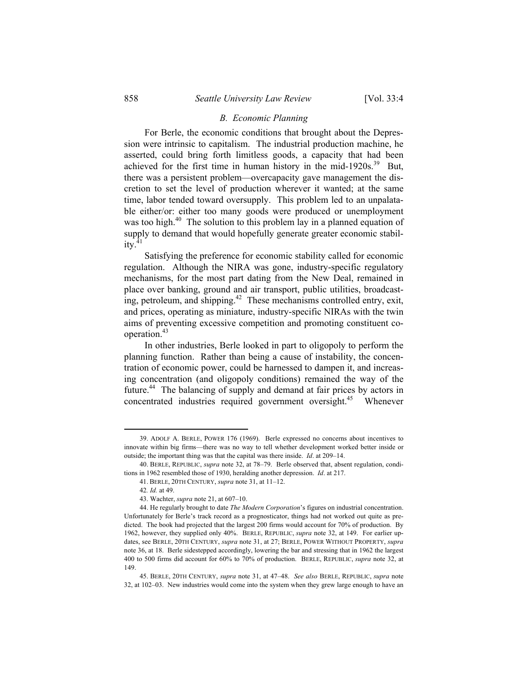#### *B. Economic Planning*

For Berle, the economic conditions that brought about the Depression were intrinsic to capitalism. The industrial production machine, he asserted, could bring forth limitless goods, a capacity that had been achieved for the first time in human history in the mid-1920s. $39$  But, there was a persistent problem—overcapacity gave management the discretion to set the level of production wherever it wanted; at the same time, labor tended toward oversupply. This problem led to an unpalatable either/or: either too many goods were produced or unemployment was too high.<sup>40</sup> The solution to this problem lay in a planned equation of supply to demand that would hopefully generate greater economic stabil $itv.<sup>41</sup>$ 

Satisfying the preference for economic stability called for economic regulation. Although the NIRA was gone, industry-specific regulatory mechanisms, for the most part dating from the New Deal, remained in place over banking, ground and air transport, public utilities, broadcasting, petroleum, and shipping.<sup>42</sup> These mechanisms controlled entry, exit, and prices, operating as miniature, industry-specific NIRAs with the twin aims of preventing excessive competition and promoting constituent cooperation.43

In other industries, Berle looked in part to oligopoly to perform the planning function. Rather than being a cause of instability, the concentration of economic power, could be harnessed to dampen it, and increasing concentration (and oligopoly conditions) remained the way of the future.44 The balancing of supply and demand at fair prices by actors in concentrated industries required government oversight.<sup>45</sup> Whenever

 <sup>39.</sup> ADOLF A. BERLE, POWER 176 (1969). Berle expressed no concerns about incentives to innovate within big firms—there was no way to tell whether development worked better inside or outside; the important thing was that the capital was there inside. *Id*. at 209–14.

 <sup>40.</sup> BERLE, REPUBLIC, *supra* note 32, at 78–79. Berle observed that, absent regulation, conditions in 1962 resembled those of 1930, heralding another depression. *Id*. at 217.

 <sup>41.</sup> BERLE, 20TH CENTURY, *supra* note 31, at 11–12.

<sup>42</sup>*. Id.* at 49.

 <sup>43.</sup> Wachter, *supra* note 21, at 607–10.

 <sup>44.</sup> He regularly brought to date *The Modern Corporation*'s figures on industrial concentration. Unfortunately for Berle's track record as a prognosticator, things had not worked out quite as predicted. The book had projected that the largest 200 firms would account for 70% of production. By 1962, however, they supplied only 40%. BERLE, REPUBLIC, *supra* note 32, at 149. For earlier updates, see BERLE, 20TH CENTURY, *supra* note 31, at 27; BERLE, POWER WITHOUT PROPERTY, *supra* note 36, at 18. Berle sidestepped accordingly, lowering the bar and stressing that in 1962 the largest 400 to 500 firms did account for 60% to 70% of production. BERLE, REPUBLIC, *supra* note 32, at 149.

 <sup>45.</sup> BERLE, 20TH CENTURY, *supra* note 31, at 47–48. *See also* BERLE, REPUBLIC, *supra* note 32, at 102–03. New industries would come into the system when they grew large enough to have an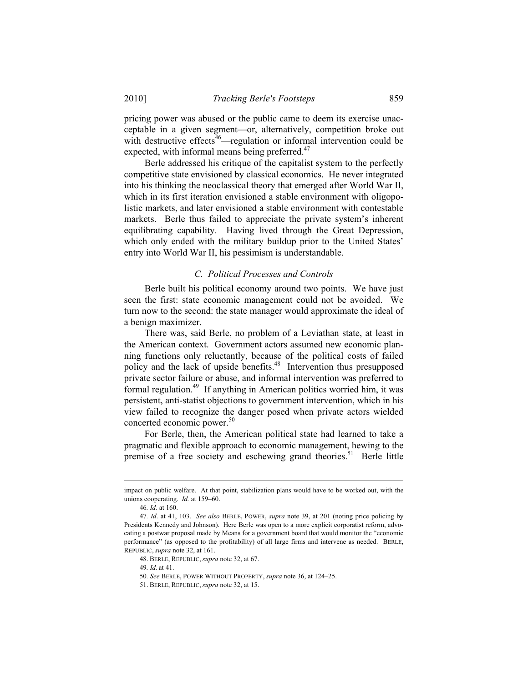pricing power was abused or the public came to deem its exercise unacceptable in a given segment—or, alternatively, competition broke out with destructive effects $46$ —regulation or informal intervention could be expected, with informal means being preferred.<sup>47</sup>

Berle addressed his critique of the capitalist system to the perfectly competitive state envisioned by classical economics. He never integrated into his thinking the neoclassical theory that emerged after World War II, which in its first iteration envisioned a stable environment with oligopolistic markets, and later envisioned a stable environment with contestable markets. Berle thus failed to appreciate the private system's inherent equilibrating capability. Having lived through the Great Depression, which only ended with the military buildup prior to the United States' entry into World War II, his pessimism is understandable.

#### *C. Political Processes and Controls*

Berle built his political economy around two points. We have just seen the first: state economic management could not be avoided. We turn now to the second: the state manager would approximate the ideal of a benign maximizer.

There was, said Berle, no problem of a Leviathan state, at least in the American context. Government actors assumed new economic planning functions only reluctantly, because of the political costs of failed policy and the lack of upside benefits.48 Intervention thus presupposed private sector failure or abuse, and informal intervention was preferred to formal regulation.49 If anything in American politics worried him, it was persistent, anti-statist objections to government intervention, which in his view failed to recognize the danger posed when private actors wielded concerted economic power.<sup>50</sup>

For Berle, then, the American political state had learned to take a pragmatic and flexible approach to economic management, hewing to the premise of a free society and eschewing grand theories.<sup>51</sup> Berle little

impact on public welfare. At that point, stabilization plans would have to be worked out, with the unions cooperating. *Id.* at 159–60.

<sup>46</sup>*. Id.* at 160.

<sup>47</sup>*. Id*. at 41, 103. *See also* BERLE, POWER, *supra* note 39, at 201 (noting price policing by Presidents Kennedy and Johnson). Here Berle was open to a more explicit corporatist reform, advocating a postwar proposal made by Means for a government board that would monitor the "economic performance" (as opposed to the profitability) of all large firms and intervene as needed. BERLE, REPUBLIC, *supra* note 32, at 161.

 <sup>48.</sup> BERLE, REPUBLIC, *supra* note 32, at 67.

<sup>49</sup>*. Id.* at 41.

<sup>50</sup>*. See* BERLE, POWER WITHOUT PROPERTY, *supra* note 36, at 124–25.

 <sup>51.</sup> BERLE, REPUBLIC, *supra* note 32, at 15.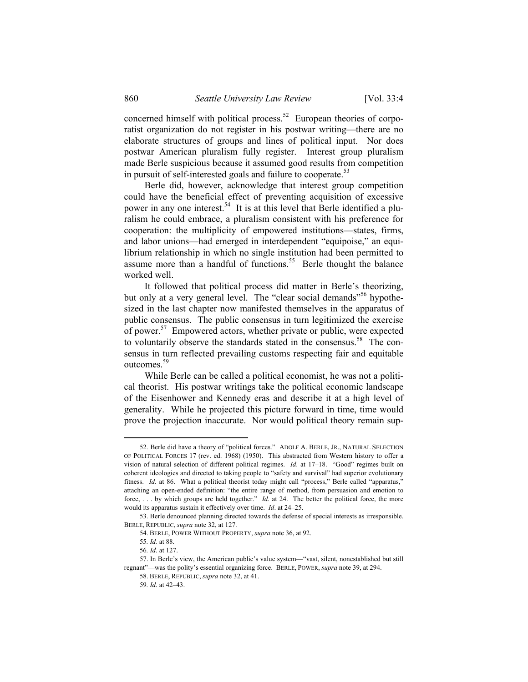concerned himself with political process.<sup>52</sup> European theories of corporatist organization do not register in his postwar writing—there are no elaborate structures of groups and lines of political input. Nor does postwar American pluralism fully register. Interest group pluralism made Berle suspicious because it assumed good results from competition in pursuit of self-interested goals and failure to cooperate. $53$ 

Berle did, however, acknowledge that interest group competition could have the beneficial effect of preventing acquisition of excessive power in any one interest.<sup>54</sup> It is at this level that Berle identified a pluralism he could embrace, a pluralism consistent with his preference for cooperation: the multiplicity of empowered institutions—states, firms, and labor unions—had emerged in interdependent "equipoise," an equilibrium relationship in which no single institution had been permitted to assume more than a handful of functions.<sup>55</sup> Berle thought the balance worked well.

It followed that political process did matter in Berle's theorizing, but only at a very general level. The "clear social demands"<sup>56</sup> hypothesized in the last chapter now manifested themselves in the apparatus of public consensus. The public consensus in turn legitimized the exercise of power.<sup>57</sup> Empowered actors, whether private or public, were expected to voluntarily observe the standards stated in the consensus.<sup>58</sup> The consensus in turn reflected prevailing customs respecting fair and equitable outcomes.<sup>59</sup>

While Berle can be called a political economist, he was not a political theorist. His postwar writings take the political economic landscape of the Eisenhower and Kennedy eras and describe it at a high level of generality. While he projected this picture forward in time, time would prove the projection inaccurate. Nor would political theory remain sup-

 <sup>52.</sup> Berle did have a theory of "political forces." ADOLF A. BERLE, JR., NATURAL SELECTION OF POLITICAL FORCES 17 (rev. ed. 1968) (1950). This abstracted from Western history to offer a vision of natural selection of different political regimes. *Id*. at 17–18. "Good" regimes built on coherent ideologies and directed to taking people to "safety and survival" had superior evolutionary fitness. *Id.* at 86. What a political theorist today might call "process," Berle called "apparatus," attaching an open-ended definition: "the entire range of method, from persuasion and emotion to force, . . . by which groups are held together." *Id*. at 24. The better the political force, the more would its apparatus sustain it effectively over time. *Id*. at 24–25.

 <sup>53.</sup> Berle denounced planning directed towards the defense of special interests as irresponsible. BERLE, REPUBLIC, *supra* note 32, at 127.

 <sup>54.</sup> BERLE, POWER WITHOUT PROPERTY, *supra* note 36, at 92.

<sup>55</sup>*. Id.* at 88.

<sup>56</sup>*. Id*. at 127.

 <sup>57.</sup> In Berle's view, the American public's value system—"vast, silent, nonestablished but still regnant"—was the polity's essential organizing force. BERLE, POWER, *supra* note 39, at 294.

 <sup>58.</sup> BERLE, REPUBLIC, *supra* note 32, at 41.

<sup>59</sup>*. Id*. at 42–43.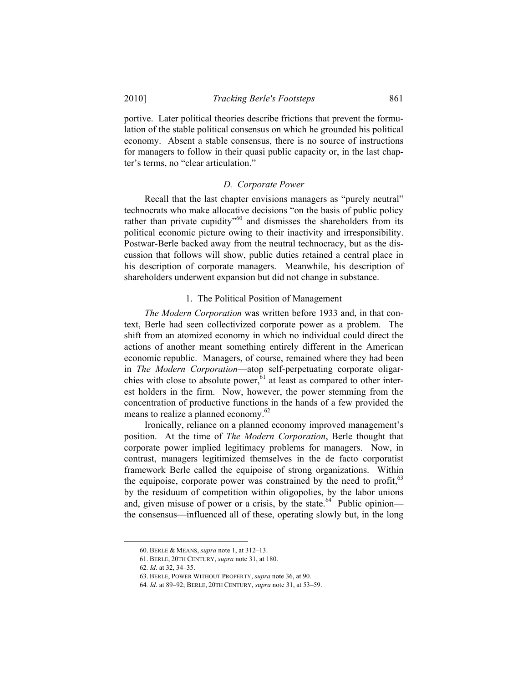portive. Later political theories describe frictions that prevent the formulation of the stable political consensus on which he grounded his political economy. Absent a stable consensus, there is no source of instructions for managers to follow in their quasi public capacity or, in the last chapter's terms, no "clear articulation."

#### *D. Corporate Power*

Recall that the last chapter envisions managers as "purely neutral" technocrats who make allocative decisions "on the basis of public policy rather than private cupidity"<sup>60</sup> and dismisses the shareholders from its political economic picture owing to their inactivity and irresponsibility. Postwar-Berle backed away from the neutral technocracy, but as the discussion that follows will show, public duties retained a central place in his description of corporate managers. Meanwhile, his description of shareholders underwent expansion but did not change in substance.

#### 1. The Political Position of Management

*The Modern Corporation* was written before 1933 and, in that context, Berle had seen collectivized corporate power as a problem. The shift from an atomized economy in which no individual could direct the actions of another meant something entirely different in the American economic republic. Managers, of course, remained where they had been in *The Modern Corporation*—atop self-perpetuating corporate oligarchies with close to absolute power,  $61$  at least as compared to other interest holders in the firm. Now, however, the power stemming from the concentration of productive functions in the hands of a few provided the means to realize a planned economy.<sup>62</sup>

Ironically, reliance on a planned economy improved management's position. At the time of *The Modern Corporation*, Berle thought that corporate power implied legitimacy problems for managers. Now, in contrast, managers legitimized themselves in the de facto corporatist framework Berle called the equipoise of strong organizations. Within the equipoise, corporate power was constrained by the need to profit,  $63$ by the residuum of competition within oligopolies, by the labor unions and, given misuse of power or a crisis, by the state.<sup>64</sup> Public opinion the consensus—influenced all of these, operating slowly but, in the long

 <sup>60.</sup> BERLE & MEANS, *supra* note 1, at 312–13.

 <sup>61.</sup> BERLE, 20TH CENTURY, *supra* note 31, at 180.

<sup>62</sup>*. Id*. at 32, 34–35.

 <sup>63.</sup> BERLE, POWER WITHOUT PROPERTY, *supra* note 36, at 90.

<sup>64</sup>*. Id*. at 89–92; BERLE, 20TH CENTURY, *supra* note 31, at 53–59.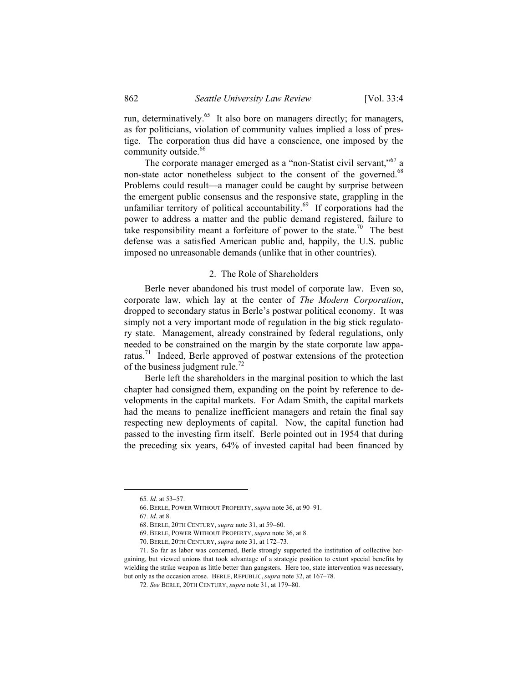run, determinatively.<sup>65</sup> It also bore on managers directly; for managers, as for politicians, violation of community values implied a loss of prestige. The corporation thus did have a conscience, one imposed by the community outside.<sup>66</sup>

The corporate manager emerged as a "non-Statist civil servant,"<sup>67</sup> a non-state actor nonetheless subject to the consent of the governed.<sup>68</sup> Problems could result—a manager could be caught by surprise between the emergent public consensus and the responsive state, grappling in the unfamiliar territory of political accountability.<sup>69</sup> If corporations had the power to address a matter and the public demand registered, failure to take responsibility meant a forfeiture of power to the state.<sup>70</sup> The best defense was a satisfied American public and, happily, the U.S. public imposed no unreasonable demands (unlike that in other countries).

#### 2. The Role of Shareholders

Berle never abandoned his trust model of corporate law. Even so, corporate law, which lay at the center of *The Modern Corporation*, dropped to secondary status in Berle's postwar political economy. It was simply not a very important mode of regulation in the big stick regulatory state. Management, already constrained by federal regulations, only needed to be constrained on the margin by the state corporate law apparatus.71 Indeed, Berle approved of postwar extensions of the protection of the business judgment rule.<sup>72</sup>

Berle left the shareholders in the marginal position to which the last chapter had consigned them, expanding on the point by reference to developments in the capital markets. For Adam Smith, the capital markets had the means to penalize inefficient managers and retain the final say respecting new deployments of capital. Now, the capital function had passed to the investing firm itself. Berle pointed out in 1954 that during the preceding six years, 64% of invested capital had been financed by

 <sup>65</sup>*. Id*. at 53–57.

 <sup>66.</sup> BERLE, POWER WITHOUT PROPERTY, *supra* note 36, at 90–91.

<sup>67</sup>*. Id*. at 8.

 <sup>68.</sup> BERLE, 20TH CENTURY, *supra* note 31, at 59–60.

 <sup>69.</sup> BERLE, POWER WITHOUT PROPERTY, *supra* note 36, at 8.

 <sup>70.</sup> BERLE, 20TH CENTURY, *supra* note 31, at 172–73.

 <sup>71.</sup> So far as labor was concerned, Berle strongly supported the institution of collective bargaining, but viewed unions that took advantage of a strategic position to extort special benefits by wielding the strike weapon as little better than gangsters. Here too, state intervention was necessary, but only as the occasion arose. BERLE, REPUBLIC, *supra* note 32, at 167–78.

<sup>72</sup>*. See* BERLE, 20TH CENTURY, *supra* note 31, at 179–80.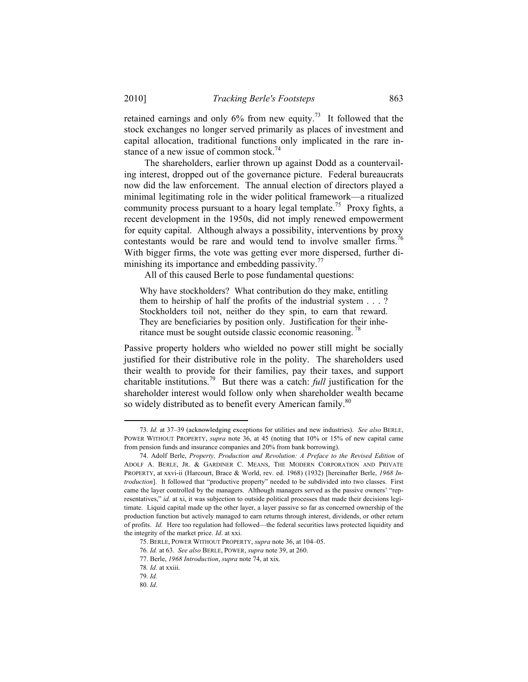retained earnings and only  $6\%$  from new equity.<sup>73</sup> It followed that the stock exchanges no longer served primarily as places of investment and capital allocation, traditional functions only implicated in the rare instance of a new issue of common stock.<sup>74</sup>

The shareholders, earlier thrown up against Dodd as a countervailing interest, dropped out of the governance picture. Federal bureaucrats now did the law enforcement. The annual election of directors played a minimal legitimating role in the wider political framework—a ritualized community process pursuant to a hoary legal template.<sup>75</sup> Proxy fights, a recent development in the 1950s, did not imply renewed empowerment for equity capital. Although always a possibility, interventions by proxy contestants would be rare and would tend to involve smaller firms.<sup>76</sup> With bigger firms, the vote was getting ever more dispersed, further diminishing its importance and embedding passivity.<sup>77</sup>

All of this caused Berle to pose fundamental questions:

Why have stockholders? What contribution do they make, entitling them to heirship of half the profits of the industrial system . . . ? Stockholders toil not, neither do they spin, to earn that reward. They are beneficiaries by position only. Justification for their inheritance must be sought outside classic economic reasoning.<sup>78</sup>

Passive property holders who wielded no power still might be socially justified for their distributive role in the polity. The shareholders used their wealth to provide for their families, pay their taxes, and support charitable institutions.79 But there was a catch: *full* justification for the shareholder interest would follow only when shareholder wealth became so widely distributed as to benefit every American family.<sup>80</sup>

 <sup>73</sup>*. Id.* at 37–39 (acknowledging exceptions for utilities and new industries). *See also* BERLE, POWER WITHOUT PROPERTY, *supra* note 36, at 45 (noting that 10% or 15% of new capital came from pension funds and insurance companies and 20% from bank borrowing).

 <sup>74.</sup> Adolf Berle, *Property, Production and Revolution: A Preface to the Revised Edition* of ADOLF A. BERLE, JR. & GARDINER C. MEANS, THE MODERN CORPORATION AND PRIVATE PROPERTY, at xxvi-ii (Harcourt, Brace & World, rev. ed. 1968) (1932) [hereinafter Berle, *1968 Introduction*]. It followed that "productive property" needed to be subdivided into two classes. First came the layer controlled by the managers. Although managers served as the passive owners' "representatives," *id.* at xi, it was subjection to outside political processes that made their decisions legitimate. Liquid capital made up the other layer, a layer passive so far as concerned ownership of the production function but actively managed to earn returns through interest, dividends, or other return of profits. *Id.* Here too regulation had followed—the federal securities laws protected liquidity and the integrity of the market price. *Id*. at xxi.

 <sup>75.</sup> BERLE, POWER WITHOUT PROPERTY, *supra* note 36, at 104–05.

<sup>76</sup>*. Id.* at 63. *See also* BERLE, POWER, *supra* note 39, at 260.

 <sup>77.</sup> Berle, *1968 Introduction*, *supra* note 74, at xix.

<sup>78</sup>*. Id*. at xxiii.

<sup>79</sup>*. Id.*

<sup>80</sup>*. Id*.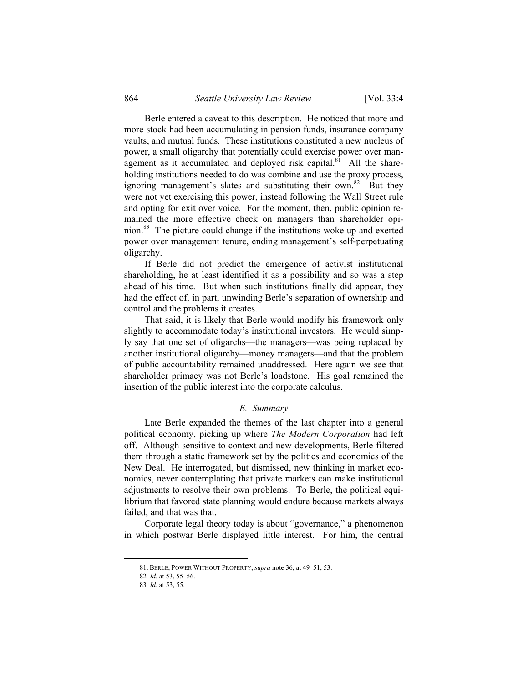Berle entered a caveat to this description. He noticed that more and more stock had been accumulating in pension funds, insurance company vaults, and mutual funds. These institutions constituted a new nucleus of power, a small oligarchy that potentially could exercise power over management as it accumulated and deployed risk capital. $81$  All the shareholding institutions needed to do was combine and use the proxy process, ignoring management's slates and substituting their own.<sup>82</sup> But they were not yet exercising this power, instead following the Wall Street rule and opting for exit over voice. For the moment, then, public opinion remained the more effective check on managers than shareholder opinion.83 The picture could change if the institutions woke up and exerted power over management tenure, ending management's self-perpetuating oligarchy.

If Berle did not predict the emergence of activist institutional shareholding, he at least identified it as a possibility and so was a step ahead of his time. But when such institutions finally did appear, they had the effect of, in part, unwinding Berle's separation of ownership and control and the problems it creates.

That said, it is likely that Berle would modify his framework only slightly to accommodate today's institutional investors. He would simply say that one set of oligarchs—the managers—was being replaced by another institutional oligarchy—money managers—and that the problem of public accountability remained unaddressed. Here again we see that shareholder primacy was not Berle's loadstone. His goal remained the insertion of the public interest into the corporate calculus.

#### *E. Summary*

Late Berle expanded the themes of the last chapter into a general political economy, picking up where *The Modern Corporation* had left off. Although sensitive to context and new developments, Berle filtered them through a static framework set by the politics and economics of the New Deal. He interrogated, but dismissed, new thinking in market economics, never contemplating that private markets can make institutional adjustments to resolve their own problems. To Berle, the political equilibrium that favored state planning would endure because markets always failed, and that was that.

Corporate legal theory today is about "governance," a phenomenon in which postwar Berle displayed little interest. For him, the central

 <sup>81.</sup> BERLE, POWER WITHOUT PROPERTY, *supra* note 36, at 49–51, 53.

<sup>82</sup>*. Id*. at 53, 55–56.

<sup>83</sup>*. Id*. at 53, 55.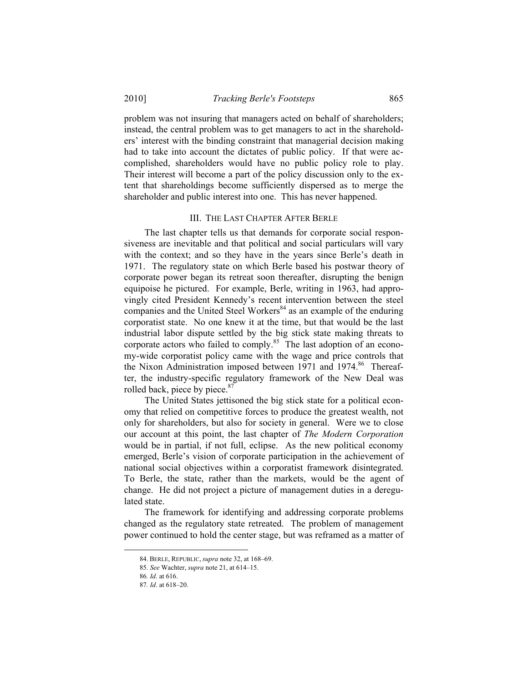problem was not insuring that managers acted on behalf of shareholders; instead, the central problem was to get managers to act in the shareholders' interest with the binding constraint that managerial decision making had to take into account the dictates of public policy. If that were accomplished, shareholders would have no public policy role to play. Their interest will become a part of the policy discussion only to the extent that shareholdings become sufficiently dispersed as to merge the shareholder and public interest into one. This has never happened.

#### III. THE LAST CHAPTER AFTER BERLE

The last chapter tells us that demands for corporate social responsiveness are inevitable and that political and social particulars will vary with the context; and so they have in the years since Berle's death in 1971. The regulatory state on which Berle based his postwar theory of corporate power began its retreat soon thereafter, disrupting the benign equipoise he pictured. For example, Berle, writing in 1963, had approvingly cited President Kennedy's recent intervention between the steel companies and the United Steel Workers<sup>84</sup> as an example of the enduring corporatist state. No one knew it at the time, but that would be the last industrial labor dispute settled by the big stick state making threats to corporate actors who failed to comply.<sup>85</sup> The last adoption of an economy-wide corporatist policy came with the wage and price controls that the Nixon Administration imposed between 1971 and 1974.<sup>86</sup> Thereafter, the industry-specific regulatory framework of the New Deal was rolled back, piece by piece.<sup>87</sup>

The United States jettisoned the big stick state for a political economy that relied on competitive forces to produce the greatest wealth, not only for shareholders, but also for society in general. Were we to close our account at this point, the last chapter of *The Modern Corporation*  would be in partial, if not full, eclipse. As the new political economy emerged, Berle's vision of corporate participation in the achievement of national social objectives within a corporatist framework disintegrated. To Berle, the state, rather than the markets, would be the agent of change. He did not project a picture of management duties in a deregulated state.

The framework for identifying and addressing corporate problems changed as the regulatory state retreated. The problem of management power continued to hold the center stage, but was reframed as a matter of

 <sup>84.</sup> BERLE, REPUBLIC, *supra* note 32, at 168–69.

<sup>85</sup>*. See* Wachter, *supra* note 21, at 614–15.

<sup>86</sup>*. Id*. at 616.

<sup>87</sup>*. Id*. at 618–20.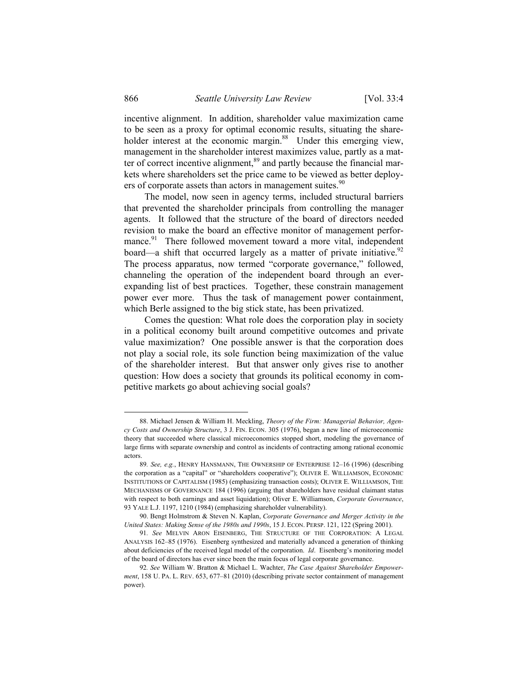incentive alignment. In addition, shareholder value maximization came to be seen as a proxy for optimal economic results, situating the shareholder interest at the economic margin.<sup>88</sup> Under this emerging view, management in the shareholder interest maximizes value, partly as a matter of correct incentive alignment,<sup>89</sup> and partly because the financial markets where shareholders set the price came to be viewed as better deployers of corporate assets than actors in management suites.<sup>90</sup>

The model, now seen in agency terms, included structural barriers that prevented the shareholder principals from controlling the manager agents. It followed that the structure of the board of directors needed revision to make the board an effective monitor of management performance.<sup>91</sup> There followed movement toward a more vital, independent board—a shift that occurred largely as a matter of private initiative.<sup>92</sup> The process apparatus, now termed "corporate governance," followed, channeling the operation of the independent board through an everexpanding list of best practices. Together, these constrain management power ever more. Thus the task of management power containment, which Berle assigned to the big stick state, has been privatized.

Comes the question: What role does the corporation play in society in a political economy built around competitive outcomes and private value maximization? One possible answer is that the corporation does not play a social role, its sole function being maximization of the value of the shareholder interest. But that answer only gives rise to another question: How does a society that grounds its political economy in competitive markets go about achieving social goals?

 <sup>88.</sup> Michael Jensen & William H. Meckling, *Theory of the Firm: Managerial Behavior, Agency Costs and Ownership Structure*, 3 J. FIN. ECON. 305 (1976), began a new line of microeconomic theory that succeeded where classical microeconomics stopped short, modeling the governance of large firms with separate ownership and control as incidents of contracting among rational economic actors.

<sup>89</sup>*. See, e*.*g.*, HENRY HANSMANN, THE OWNERSHIP OF ENTERPRISE 12–16 (1996) (describing the corporation as a "capital" or "shareholders cooperative"); OLIVER E. WILLIAMSON, ECONOMIC INSTITUTIONS OF CAPITALISM (1985) (emphasizing transaction costs); OLIVER E. WILLIAMSON, THE MECHANISMS OF GOVERNANCE 184 (1996) (arguing that shareholders have residual claimant status with respect to both earnings and asset liquidation); Oliver E. Williamson, *Corporate Governance*, 93 YALE L.J. 1197, 1210 (1984) (emphasizing shareholder vulnerability).

 <sup>90.</sup> Bengt Holmstrom & Steven N. Kaplan, *Corporate Governance and Merger Activity in the United States: Making Sense of the 1980s and 1990s*, 15 J. ECON. PERSP. 121, 122 (Spring 2001).

<sup>91</sup>*. See* MELVIN ARON EISENBERG, THE STRUCTURE OF THE CORPORATION: A LEGAL ANALYSIS 162–85 (1976). Eisenberg synthesized and materially advanced a generation of thinking about deficiencies of the received legal model of the corporation. *Id*. Eisenberg's monitoring model of the board of directors has ever since been the main focus of legal corporate governance.

<sup>92</sup>*. See* William W. Bratton & Michael L. Wachter, *The Case Against Shareholder Empowerment*, 158 U. PA. L. REV. 653, 677–81 (2010) (describing private sector containment of management power).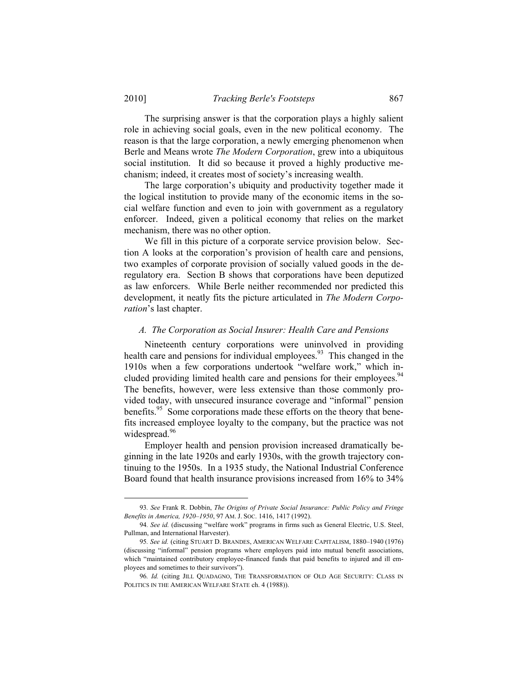The surprising answer is that the corporation plays a highly salient role in achieving social goals, even in the new political economy. The reason is that the large corporation, a newly emerging phenomenon when Berle and Means wrote *The Modern Corporation*, grew into a ubiquitous social institution. It did so because it proved a highly productive mechanism; indeed, it creates most of society's increasing wealth.

The large corporation's ubiquity and productivity together made it the logical institution to provide many of the economic items in the social welfare function and even to join with government as a regulatory enforcer. Indeed, given a political economy that relies on the market mechanism, there was no other option.

We fill in this picture of a corporate service provision below. Section A looks at the corporation's provision of health care and pensions, two examples of corporate provision of socially valued goods in the deregulatory era. Section B shows that corporations have been deputized as law enforcers. While Berle neither recommended nor predicted this development, it neatly fits the picture articulated in *The Modern Corporation*'s last chapter.

#### *A. The Corporation as Social Insurer: Health Care and Pensions*

Nineteenth century corporations were uninvolved in providing health care and pensions for individual employees.<sup>93</sup> This changed in the 1910s when a few corporations undertook "welfare work," which included providing limited health care and pensions for their employees.<sup>94</sup> The benefits, however, were less extensive than those commonly provided today, with unsecured insurance coverage and "informal" pension benefits.<sup>95</sup> Some corporations made these efforts on the theory that benefits increased employee loyalty to the company, but the practice was not widespread.<sup>96</sup>

Employer health and pension provision increased dramatically beginning in the late 1920s and early 1930s, with the growth trajectory continuing to the 1950s. In a 1935 study, the National Industrial Conference Board found that health insurance provisions increased from 16% to 34%

 <sup>93</sup>*. See* Frank R. Dobbin, *The Origins of Private Social Insurance: Public Policy and Fringe Benefits in America, 1920–1950*, 97 AM. J. SOC. 1416, 1417 (1992).

<sup>94</sup>*. See id.* (discussing "welfare work" programs in firms such as General Electric, U.S. Steel, Pullman, and International Harvester).

<sup>95</sup>*. See id.* (citing STUART D. BRANDES, AMERICAN WELFARE CAPITALISM, 1880–1940 (1976) (discussing "informal" pension programs where employers paid into mutual benefit associations, which "maintained contributory employee-financed funds that paid benefits to injured and ill employees and sometimes to their survivors").

<sup>96</sup>*. Id.* (citing JILL QUADAGNO, THE TRANSFORMATION OF OLD AGE SECURITY: CLASS IN POLITICS IN THE AMERICAN WELFARE STATE ch. 4 (1988)).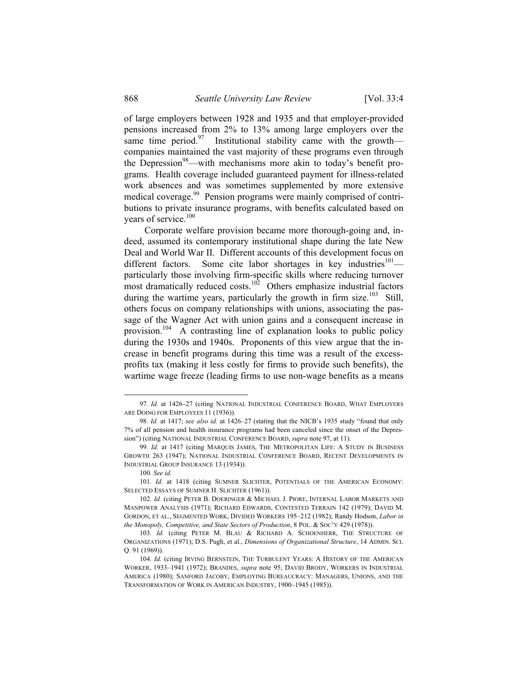of large employers between 1928 and 1935 and that employer-provided pensions increased from 2% to 13% among large employers over the same time period. $97$  Institutional stability came with the growth companies maintained the vast majority of these programs even through the Depression<sup>98</sup>—with mechanisms more akin to today's benefit programs. Health coverage included guaranteed payment for illness-related work absences and was sometimes supplemented by more extensive medical coverage.<sup>99</sup> Pension programs were mainly comprised of contributions to private insurance programs, with benefits calculated based on years of service.<sup>100</sup>

Corporate welfare provision became more thorough-going and, indeed, assumed its contemporary institutional shape during the late New Deal and World War II. Different accounts of this development focus on different factors. Some cite labor shortages in key industries<sup>101</sup> particularly those involving firm-specific skills where reducing turnover most dramatically reduced costs.<sup>102</sup> Others emphasize industrial factors during the wartime years, particularly the growth in firm size.<sup>103</sup> Still, others focus on company relationships with unions, associating the passage of the Wagner Act with union gains and a consequent increase in provision.104 A contrasting line of explanation looks to public policy during the 1930s and 1940s. Proponents of this view argue that the increase in benefit programs during this time was a result of the excessprofits tax (making it less costly for firms to provide such benefits), the wartime wage freeze (leading firms to use non-wage benefits as a means

 <sup>97</sup>*. Id.* at 1426–27 (citing NATIONAL INDUSTRIAL CONFERENCE BOARD, WHAT EMPLOYERS ARE DOING FOR EMPLOYEES 11 (1936)).

<sup>98</sup>*. Id.* at 1417; *see also id.* at 1426–27 (stating that the NICB's 1935 study "found that only 7% of all pension and health insurance programs had been canceled since the onset of the Depression") (citing NATIONAL INDUSTRIAL CONFERENCE BOARD, *supra* note 97, at 11).

<sup>99</sup>*. Id.* at 1417 (citing MARQUIS JAMES, THE METROPOLITAN LIFE: A STUDY IN BUSINESS GROWTH 263 (1947); NATIONAL INDUSTRIAL CONFERENCE BOARD, RECENT DEVELOPMENTS IN INDUSTRIAL GROUP INSURANCE 13 (1934)).

<sup>100</sup>*. See id.*

<sup>101.</sup> Id. at 1418 (citing SUMNER SLICHTER, POTENTIALS OF THE AMERICAN ECONOMY: SELECTED ESSAYS OF SUMNER H. SLICHTER (1961)).

<sup>102</sup>*. Id.* (citing PETER B. DOERINGER & MICHAEL J. PIORE, INTERNAL LABOR MARKETS AND MANPOWER ANALYSIS (1971); RICHARD EDWARDS, CONTESTED TERRAIN 142 (1979); DAVID M. GORDON, ET AL., SEGMENTED WORK, DIVIDED WORKERS 195–212 (1982); Randy Hodson, *Labor in the Monopoly, Competitive, and State Sectors of Production*, 8 POL. & SOC'Y 429 (1978)).

<sup>103.</sup> Id. (citing PETER M. BLAU & RICHARD A. SCHOENHERR, THE STRUCTURE OF ORGANIZATIONS (1971); D.S. Pugh, et al., *Dimensions of Organizational Structure*, 14 ADMIN. SCI. Q. 91 (1969)).

<sup>104</sup>*. Id.* (citing IRVING BERNSTEIN, THE TURBULENT YEARS: A HISTORY OF THE AMERICAN WORKER, 1933–1941 (1972); BRANDES, *supra* note 95; DAVID BRODY, WORKERS IN INDUSTRIAL AMERICA (1980); SANFORD JACOBY, EMPLOYING BUREAUCRACY: MANAGERS, UNIONS, AND THE TRANSFORMATION OF WORK IN AMERICAN INDUSTRY, 1900–1945 (1985)).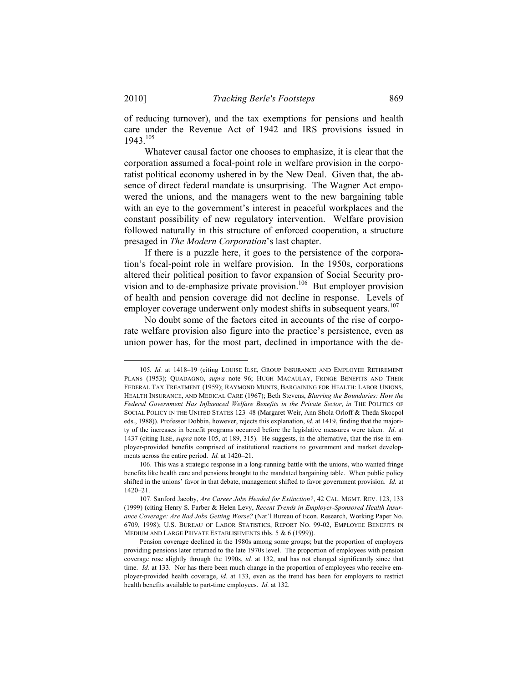of reducing turnover), and the tax exemptions for pensions and health care under the Revenue Act of 1942 and IRS provisions issued in 1943.105

Whatever causal factor one chooses to emphasize, it is clear that the corporation assumed a focal-point role in welfare provision in the corporatist political economy ushered in by the New Deal. Given that, the absence of direct federal mandate is unsurprising. The Wagner Act empowered the unions, and the managers went to the new bargaining table with an eye to the government's interest in peaceful workplaces and the constant possibility of new regulatory intervention. Welfare provision followed naturally in this structure of enforced cooperation, a structure presaged in *The Modern Corporation*'s last chapter.

If there is a puzzle here, it goes to the persistence of the corporation's focal-point role in welfare provision. In the 1950s, corporations altered their political position to favor expansion of Social Security provision and to de-emphasize private provision.<sup>106</sup> But employer provision of health and pension coverage did not decline in response. Levels of employer coverage underwent only modest shifts in subsequent years.<sup>107</sup>

No doubt some of the factors cited in accounts of the rise of corporate welfare provision also figure into the practice's persistence, even as union power has, for the most part, declined in importance with the de-

 <sup>105</sup>*. Id.* at 1418–19 (citing LOUISE ILSE, GROUP INSURANCE AND EMPLOYEE RETIREMENT PLANS (1953); QUADAGNO, *supra* note 96; HUGH MACAULAY, FRINGE BENEFITS AND THEIR FEDERAL TAX TREATMENT (1959); RAYMOND MUNTS, BARGAINING FOR HEALTH: LABOR UNIONS, HEALTH INSURANCE, AND MEDICAL CARE (1967); Beth Stevens, *Blurring the Boundaries: How the Federal Government Has Influenced Welfare Benefits in the Private Sector*, *in* THE POLITICS OF SOCIAL POLICY IN THE UNITED STATES 123–48 (Margaret Weir, Ann Shola Orloff & Theda Skocpol eds., 1988)). Professor Dobbin, however, rejects this explanation, *id*. at 1419, finding that the majority of the increases in benefit programs occurred before the legislative measures were taken. *Id*. at 1437 (citing ILSE, *supra* note 105, at 189, 315). He suggests, in the alternative, that the rise in employer-provided benefits comprised of institutional reactions to government and market developments across the entire period. *Id.* at 1420–21.

 <sup>106.</sup> This was a strategic response in a long-running battle with the unions, who wanted fringe benefits like health care and pensions brought to the mandated bargaining table. When public policy shifted in the unions' favor in that debate, management shifted to favor government provision. *Id.* at 1420–21.

 <sup>107.</sup> Sanford Jacoby, *Are Career Jobs Headed for Extinction?*, 42 CAL. MGMT. REV. 123, 133 (1999) (citing Henry S. Farber & Helen Levy, *Recent Trends in Employer-Sponsored Health Insurance Coverage: Are Bad Jobs Getting Worse?* (Nat'l Bureau of Econ. Research, Working Paper No. 6709, 1998); U.S. BUREAU OF LABOR STATISTICS, REPORT NO. 99-02, EMPLOYEE BENEFITS IN MEDIUM AND LARGE PRIVATE ESTABLISHMENTS tbls. 5 & 6 (1999)).

Pension coverage declined in the 1980s among some groups; but the proportion of employers providing pensions later returned to the late 1970s level. The proportion of employees with pension coverage rose slightly through the 1990s, *id.* at 132, and has not changed significantly since that time. *Id.* at 133. Nor has there been much change in the proportion of employees who receive employer-provided health coverage, *id.* at 133, even as the trend has been for employers to restrict health benefits available to part-time employees. *Id.* at 132.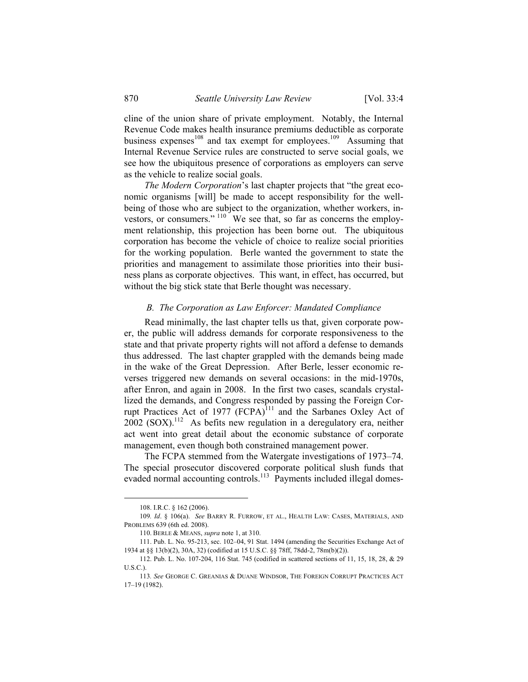cline of the union share of private employment. Notably, the Internal Revenue Code makes health insurance premiums deductible as corporate business expenses<sup>108</sup> and tax exempt for employees.<sup>109</sup> Assuming that Internal Revenue Service rules are constructed to serve social goals, we see how the ubiquitous presence of corporations as employers can serve as the vehicle to realize social goals.

*The Modern Corporation*'s last chapter projects that "the great economic organisms [will] be made to accept responsibility for the wellbeing of those who are subject to the organization, whether workers, investors, or consumers."  $110^{\circ}$  We see that, so far as concerns the employment relationship, this projection has been borne out. The ubiquitous corporation has become the vehicle of choice to realize social priorities for the working population. Berle wanted the government to state the priorities and management to assimilate those priorities into their business plans as corporate objectives. This want, in effect, has occurred, but without the big stick state that Berle thought was necessary.

#### *B. The Corporation as Law Enforcer: Mandated Compliance*

Read minimally, the last chapter tells us that, given corporate power, the public will address demands for corporate responsiveness to the state and that private property rights will not afford a defense to demands thus addressed. The last chapter grappled with the demands being made in the wake of the Great Depression. After Berle, lesser economic reverses triggered new demands on several occasions: in the mid-1970s, after Enron, and again in 2008. In the first two cases, scandals crystallized the demands, and Congress responded by passing the Foreign Corrupt Practices Act of 1977 (FCPA)<sup>111</sup> and the Sarbanes Oxley Act of  $2002$  (SOX).<sup>112</sup> As befits new regulation in a deregulatory era, neither act went into great detail about the economic substance of corporate management, even though both constrained management power.

The FCPA stemmed from the Watergate investigations of 1973–74. The special prosecutor discovered corporate political slush funds that evaded normal accounting controls.<sup>113</sup> Payments included illegal domes-

 <sup>108.</sup> I.R.C. § 162 (2006).

<sup>109</sup>*. Id*. § 106(a). *See* BARRY R. FURROW, ET AL., HEALTH LAW: CASES, MATERIALS, AND PROBLEMS 639 (6th ed. 2008).

 <sup>110.</sup> BERLE & MEANS, *supra* note 1, at 310.

 <sup>111.</sup> Pub. L. No. 95-213, sec. 102–04, 91 Stat. 1494 (amending the Securities Exchange Act of 1934 at §§ 13(b)(2), 30A, 32) (codified at 15 U.S.C. §§ 78ff, 78dd-2, 78m(b)(2)).

 <sup>112.</sup> Pub. L. No. 107-204, 116 Stat. 745 (codified in scattered sections of 11, 15, 18, 28, & 29 U.S.C.).

<sup>113</sup>*. See* GEORGE C. GREANIAS & DUANE WINDSOR, THE FOREIGN CORRUPT PRACTICES ACT 17–19 (1982).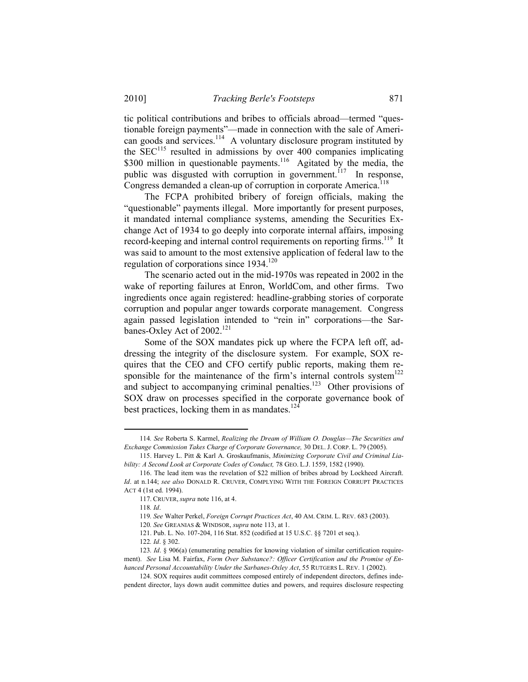tic political contributions and bribes to officials abroad—termed "questionable foreign payments"—made in connection with the sale of American goods and services.<sup>114</sup> A voluntary disclosure program instituted by the  $SEC<sup>115</sup>$  resulted in admissions by over 400 companies implicating \$300 million in questionable payments.<sup>116</sup> Agitated by the media, the public was disgusted with corruption in government.<sup>117</sup> In response, Congress demanded a clean-up of corruption in corporate America.<sup>118</sup>

The FCPA prohibited bribery of foreign officials, making the "questionable" payments illegal. More importantly for present purposes, it mandated internal compliance systems, amending the Securities Exchange Act of 1934 to go deeply into corporate internal affairs, imposing record-keeping and internal control requirements on reporting firms.<sup>119</sup> It was said to amount to the most extensive application of federal law to the regulation of corporations since  $1934$ <sup>120</sup>

The scenario acted out in the mid-1970s was repeated in 2002 in the wake of reporting failures at Enron, WorldCom, and other firms. Two ingredients once again registered: headline-grabbing stories of corporate corruption and popular anger towards corporate management. Congress again passed legislation intended to "rein in" corporations—the Sarbanes-Oxley Act of 2002.<sup>121</sup>

Some of the SOX mandates pick up where the FCPA left off, addressing the integrity of the disclosure system. For example, SOX requires that the CEO and CFO certify public reports, making them responsible for the maintenance of the firm's internal controls system $^{122}$ and subject to accompanying criminal penalties.<sup>123</sup> Other provisions of SOX draw on processes specified in the corporate governance book of best practices, locking them in as mandates. $124$ 

 <sup>114</sup>*. See* Roberta S. Karmel, *Realizing the Dream of William O. Douglas—The Securities and Exchange Commission Takes Charge of Corporate Governance,* 30 DEL. J. CORP. L. 79 (2005).

 <sup>115.</sup> Harvey L. Pitt & Karl A. Groskaufmanis, *Minimizing Corporate Civil and Criminal Liability: A Second Look at Corporate Codes of Conduct,* 78 GEO. L.J. 1559, 1582 (1990).

 <sup>116.</sup> The lead item was the revelation of \$22 million of bribes abroad by Lockheed Aircraft. *Id*. at n.144; *see also* DONALD R. CRUVER, COMPLYING WITH THE FOREIGN CORRUPT PRACTICES ACT 4 (1st ed. 1994).

 <sup>117.</sup> CRUVER, *supra* note 116, at 4.

<sup>118</sup>*. Id*.

<sup>119</sup>*. See* Walter Perkel, *Foreign Corrupt Practices Act*, 40 AM. CRIM. L. REV. 683 (2003).

<sup>120</sup>*. See* GREANIAS & WINDSOR, *supra* note 113, at 1.

 <sup>121.</sup> Pub. L. No. 107-204, 116 Stat. 852 (codified at 15 U.S.C. §§ 7201 et seq.).

<sup>122</sup>*. Id*. § 302.

<sup>123</sup>*. Id*. § 906(a) (enumerating penalties for knowing violation of similar certification requirement). *See* Lisa M. Fairfax, *Form Over Substance?: Officer Certification and the Promise of Enhanced Personal Accountability Under the Sarbanes-Oxley Act*, 55 RUTGERS L. REV. 1 (2002).

 <sup>124.</sup> SOX requires audit committees composed entirely of independent directors, defines independent director, lays down audit committee duties and powers, and requires disclosure respecting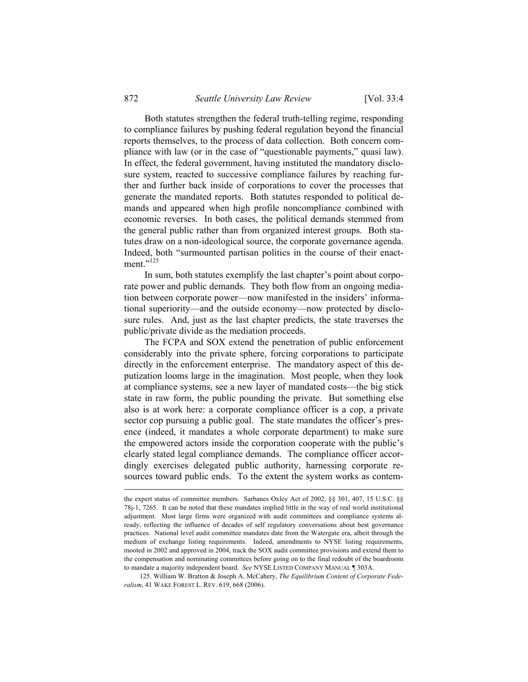Both statutes strengthen the federal truth-telling regime, responding to compliance failures by pushing federal regulation beyond the financial reports themselves, to the process of data collection. Both concern compliance with law (or in the case of "questionable payments," quasi law). In effect, the federal government, having instituted the mandatory disclosure system, reacted to successive compliance failures by reaching further and further back inside of corporations to cover the processes that generate the mandated reports. Both statutes responded to political demands and appeared when high profile noncompliance combined with economic reverses. In both cases, the political demands stemmed from the general public rather than from organized interest groups. Both statutes draw on a non-ideological source, the corporate governance agenda. Indeed, both "surmounted partisan politics in the course of their enactment $^{125}$ 

In sum, both statutes exemplify the last chapter's point about corporate power and public demands. They both flow from an ongoing mediation between corporate power—now manifested in the insiders' informational superiority—and the outside economy—now protected by disclosure rules. And, just as the last chapter predicts, the state traverses the public/private divide as the mediation proceeds.

The FCPA and SOX extend the penetration of public enforcement considerably into the private sphere, forcing corporations to participate directly in the enforcement enterprise. The mandatory aspect of this deputization looms large in the imagination. Most people, when they look at compliance systems, see a new layer of mandated costs—the big stick state in raw form, the public pounding the private. But something else also is at work here: a corporate compliance officer is a cop, a private sector cop pursuing a public goal. The state mandates the officer's presence (indeed, it mandates a whole corporate department) to make sure the empowered actors inside the corporation cooperate with the public's clearly stated legal compliance demands. The compliance officer accordingly exercises delegated public authority, harnessing corporate resources toward public ends. To the extent the system works as contem-

 125. William W. Bratton & Joseph A. McCahery, *The Equilibrium Content of Corporate Federalism*, 41 WAKE FOREST L. REV. 619, 668 (2006).

the expert status of committee members. Sarbanes Oxley Act of 2002, §§ 301, 407, 15 U.S.C. §§ 78j-1, 7265. It can be noted that these mandates implied little in the way of real world institutional adjustment. Most large firms were organized with audit committees and compliance systems already, reflecting the influence of decades of self regulatory conversations about best governance practices. National level audit committee mandates date from the Watergate era, albeit through the medium of exchange listing requirements. Indeed, amendments to NYSE listing requirements, mooted in 2002 and approved in 2004, track the SOX audit committee provisions and extend them to the compensation and nominating committees before going on to the final redoubt of the boardroom to mandate a majority independent board. *See* NYSE LISTED COMPANY MANUAL ¶ 303A.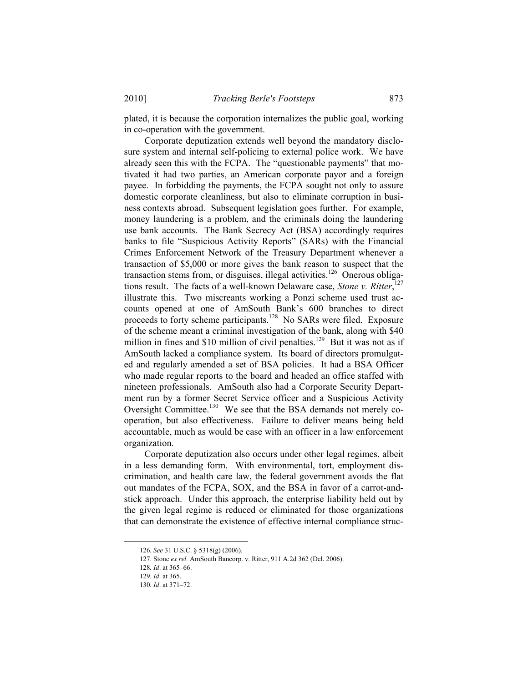plated, it is because the corporation internalizes the public goal, working in co-operation with the government.

Corporate deputization extends well beyond the mandatory disclosure system and internal self-policing to external police work. We have already seen this with the FCPA. The "questionable payments" that motivated it had two parties, an American corporate payor and a foreign payee. In forbidding the payments, the FCPA sought not only to assure domestic corporate cleanliness, but also to eliminate corruption in business contexts abroad. Subsequent legislation goes further. For example, money laundering is a problem, and the criminals doing the laundering use bank accounts. The Bank Secrecy Act (BSA) accordingly requires banks to file "Suspicious Activity Reports" (SARs) with the Financial Crimes Enforcement Network of the Treasury Department whenever a transaction of \$5,000 or more gives the bank reason to suspect that the transaction stems from, or disguises, illegal activities.<sup>126</sup> Onerous obligations result. The facts of a well-known Delaware case, *Stone v. Ritter*, 127 illustrate this. Two miscreants working a Ponzi scheme used trust accounts opened at one of AmSouth Bank's 600 branches to direct proceeds to forty scheme participants.<sup>128</sup> No SARs were filed. Exposure of the scheme meant a criminal investigation of the bank, along with \$40 million in fines and \$10 million of civil penalties.<sup>129</sup> But it was not as if AmSouth lacked a compliance system. Its board of directors promulgated and regularly amended a set of BSA policies. It had a BSA Officer who made regular reports to the board and headed an office staffed with nineteen professionals. AmSouth also had a Corporate Security Department run by a former Secret Service officer and a Suspicious Activity Oversight Committee.<sup>130</sup> We see that the BSA demands not merely cooperation, but also effectiveness. Failure to deliver means being held accountable, much as would be case with an officer in a law enforcement organization.

Corporate deputization also occurs under other legal regimes, albeit in a less demanding form. With environmental, tort, employment discrimination, and health care law, the federal government avoids the flat out mandates of the FCPA, SOX, and the BSA in favor of a carrot-andstick approach. Under this approach, the enterprise liability held out by the given legal regime is reduced or eliminated for those organizations that can demonstrate the existence of effective internal compliance struc-

 <sup>126</sup>*. See* 31 U.S.C. § 5318(g) (2006).

 <sup>127.</sup> Stone *ex rel.* AmSouth Bancorp. v. Ritter, 911 A.2d 362 (Del. 2006).

<sup>128</sup>*. Id*. at 365–66.

<sup>129</sup>*. Id*. at 365.

<sup>130</sup>*. Id*. at 371–72.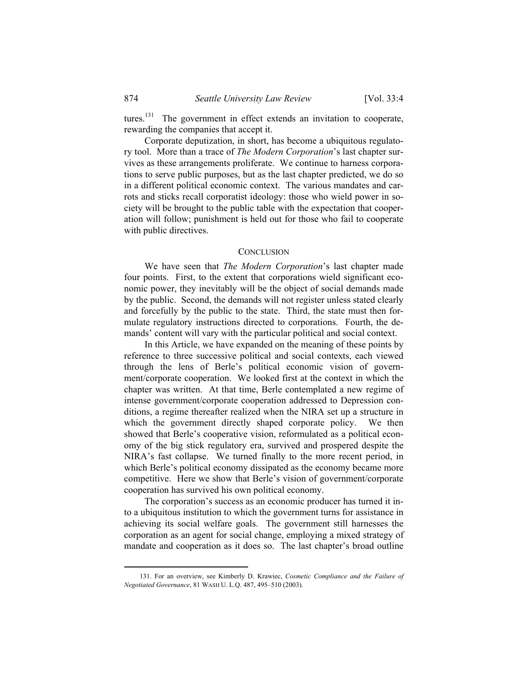tures.131 The government in effect extends an invitation to cooperate, rewarding the companies that accept it.

Corporate deputization, in short, has become a ubiquitous regulatory tool. More than a trace of *The Modern Corporation*'s last chapter survives as these arrangements proliferate. We continue to harness corporations to serve public purposes, but as the last chapter predicted, we do so in a different political economic context. The various mandates and carrots and sticks recall corporatist ideology: those who wield power in society will be brought to the public table with the expectation that cooperation will follow; punishment is held out for those who fail to cooperate with public directives.

#### **CONCLUSION**

We have seen that *The Modern Corporation*'s last chapter made four points. First, to the extent that corporations wield significant economic power, they inevitably will be the object of social demands made by the public. Second, the demands will not register unless stated clearly and forcefully by the public to the state. Third, the state must then formulate regulatory instructions directed to corporations. Fourth, the demands' content will vary with the particular political and social context.

In this Article, we have expanded on the meaning of these points by reference to three successive political and social contexts, each viewed through the lens of Berle's political economic vision of government/corporate cooperation. We looked first at the context in which the chapter was written. At that time, Berle contemplated a new regime of intense government/corporate cooperation addressed to Depression conditions, a regime thereafter realized when the NIRA set up a structure in which the government directly shaped corporate policy. We then showed that Berle's cooperative vision, reformulated as a political economy of the big stick regulatory era, survived and prospered despite the NIRA's fast collapse. We turned finally to the more recent period, in which Berle's political economy dissipated as the economy became more competitive. Here we show that Berle's vision of government/corporate cooperation has survived his own political economy.

The corporation's success as an economic producer has turned it into a ubiquitous institution to which the government turns for assistance in achieving its social welfare goals. The government still harnesses the corporation as an agent for social change, employing a mixed strategy of mandate and cooperation as it does so. The last chapter's broad outline

 <sup>131.</sup> For an overview, see Kimberly D. Krawiec, *Cosmetic Compliance and the Failure of Negotiated Governance*, 81 WASH U. L.Q. 487, 495–510 (2003).